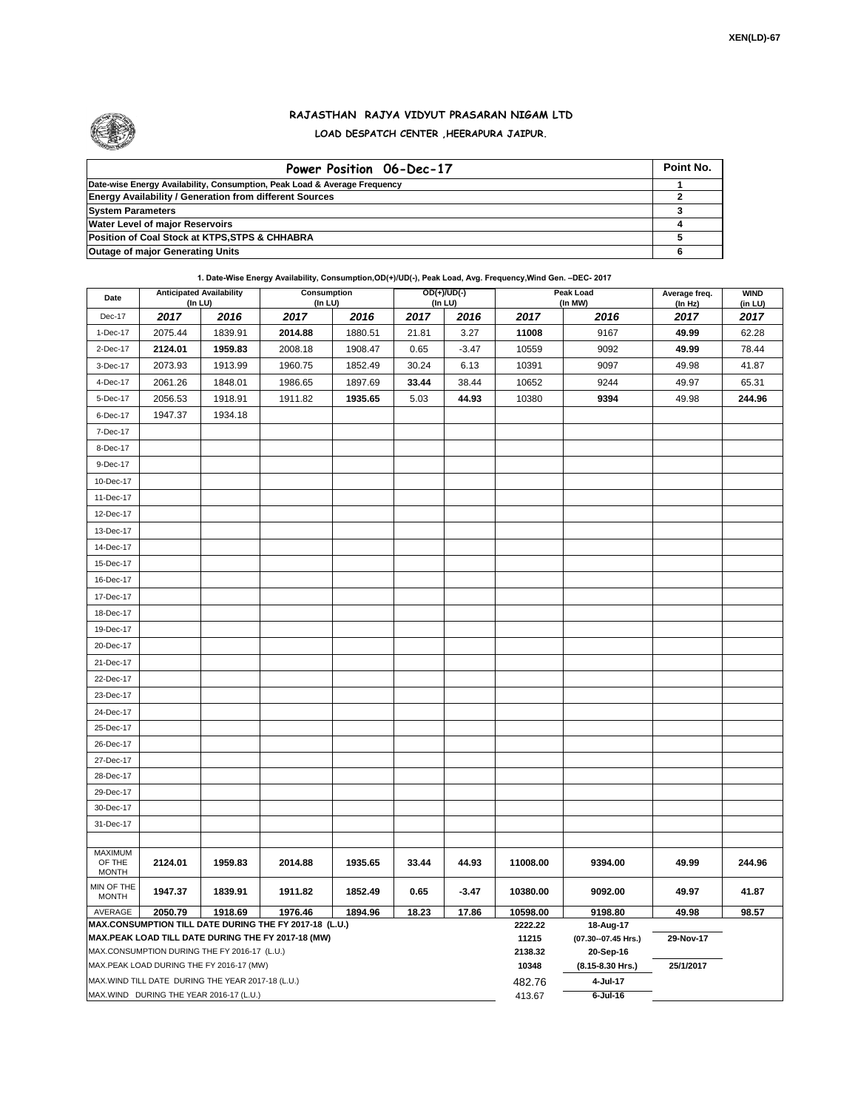

## **RAJASTHAN RAJYA VIDYUT PRASARAN NIGAM LTD LOAD DESPATCH CENTER ,HEERAPURA JAIPUR.**

| Power Position 06-Dec-17                                                  | Point No. |
|---------------------------------------------------------------------------|-----------|
| Date-wise Energy Availability, Consumption, Peak Load & Average Frequency |           |
| <b>Energy Availability / Generation from different Sources</b>            |           |
| <b>System Parameters</b>                                                  |           |
| <b>Water Level of major Reservoirs</b>                                    |           |
| Position of Coal Stock at KTPS, STPS & CHHABRA                            |           |
| <b>Outage of major Generating Units</b>                                   |           |

**1. Date-Wise Energy Availability, Consumption,OD(+)/UD(-), Peak Load, Avg. Frequency,Wind Gen. –DEC- 2017**

| Date                                                                                                         |         | <b>Anticipated Availability</b><br>(In LU) | Consumption<br>(In LU) |         |       | OD(+)/UD(-)<br>$($ In LU $)$ |                  | Peak Load<br>(In MW)               | Average freq.<br>(In Hz) | <b>WIND</b><br>(in LU) |
|--------------------------------------------------------------------------------------------------------------|---------|--------------------------------------------|------------------------|---------|-------|------------------------------|------------------|------------------------------------|--------------------------|------------------------|
| Dec-17                                                                                                       | 2017    | 2016                                       | 2017                   | 2016    | 2017  | 2016                         | 2017             | 2016                               | 2017                     | 2017                   |
| 1-Dec-17                                                                                                     | 2075.44 | 1839.91                                    | 2014.88                | 1880.51 | 21.81 | 3.27                         | 11008            | 9167                               | 49.99                    | 62.28                  |
| 2-Dec-17                                                                                                     | 2124.01 | 1959.83                                    | 2008.18                | 1908.47 | 0.65  | $-3.47$                      | 10559            | 9092                               | 49.99                    | 78.44                  |
| 3-Dec-17                                                                                                     | 2073.93 | 1913.99                                    | 1960.75                | 1852.49 | 30.24 | 6.13                         | 10391            | 9097                               | 49.98                    | 41.87                  |
| 4-Dec-17                                                                                                     | 2061.26 | 1848.01                                    | 1986.65                | 1897.69 | 33.44 | 38.44                        | 10652            | 9244                               | 49.97                    | 65.31                  |
| 5-Dec-17                                                                                                     | 2056.53 | 1918.91                                    | 1911.82                | 1935.65 | 5.03  | 44.93                        | 10380            | 9394                               | 49.98                    | 244.96                 |
| 6-Dec-17                                                                                                     | 1947.37 | 1934.18                                    |                        |         |       |                              |                  |                                    |                          |                        |
| 7-Dec-17                                                                                                     |         |                                            |                        |         |       |                              |                  |                                    |                          |                        |
| 8-Dec-17                                                                                                     |         |                                            |                        |         |       |                              |                  |                                    |                          |                        |
| 9-Dec-17                                                                                                     |         |                                            |                        |         |       |                              |                  |                                    |                          |                        |
| 10-Dec-17                                                                                                    |         |                                            |                        |         |       |                              |                  |                                    |                          |                        |
| 11-Dec-17                                                                                                    |         |                                            |                        |         |       |                              |                  |                                    |                          |                        |
| 12-Dec-17                                                                                                    |         |                                            |                        |         |       |                              |                  |                                    |                          |                        |
| 13-Dec-17                                                                                                    |         |                                            |                        |         |       |                              |                  |                                    |                          |                        |
| 14-Dec-17                                                                                                    |         |                                            |                        |         |       |                              |                  |                                    |                          |                        |
| 15-Dec-17                                                                                                    |         |                                            |                        |         |       |                              |                  |                                    |                          |                        |
| 16-Dec-17                                                                                                    |         |                                            |                        |         |       |                              |                  |                                    |                          |                        |
| 17-Dec-17                                                                                                    |         |                                            |                        |         |       |                              |                  |                                    |                          |                        |
| 18-Dec-17                                                                                                    |         |                                            |                        |         |       |                              |                  |                                    |                          |                        |
| 19-Dec-17                                                                                                    |         |                                            |                        |         |       |                              |                  |                                    |                          |                        |
| 20-Dec-17                                                                                                    |         |                                            |                        |         |       |                              |                  |                                    |                          |                        |
| 21-Dec-17                                                                                                    |         |                                            |                        |         |       |                              |                  |                                    |                          |                        |
| 22-Dec-17                                                                                                    |         |                                            |                        |         |       |                              |                  |                                    |                          |                        |
| 23-Dec-17                                                                                                    |         |                                            |                        |         |       |                              |                  |                                    |                          |                        |
| 24-Dec-17                                                                                                    |         |                                            |                        |         |       |                              |                  |                                    |                          |                        |
| 25-Dec-17                                                                                                    |         |                                            |                        |         |       |                              |                  |                                    |                          |                        |
| 26-Dec-17                                                                                                    |         |                                            |                        |         |       |                              |                  |                                    |                          |                        |
| 27-Dec-17                                                                                                    |         |                                            |                        |         |       |                              |                  |                                    |                          |                        |
| 28-Dec-17                                                                                                    |         |                                            |                        |         |       |                              |                  |                                    |                          |                        |
| 29-Dec-17                                                                                                    |         |                                            |                        |         |       |                              |                  |                                    |                          |                        |
| 30-Dec-17                                                                                                    |         |                                            |                        |         |       |                              |                  |                                    |                          |                        |
| 31-Dec-17                                                                                                    |         |                                            |                        |         |       |                              |                  |                                    |                          |                        |
|                                                                                                              |         |                                            |                        |         |       |                              |                  |                                    |                          |                        |
| <b>MAXIMUM</b><br>OF THE                                                                                     | 2124.01 | 1959.83                                    | 2014.88                | 1935.65 | 33.44 | 44.93                        | 11008.00         | 9394.00                            | 49.99                    | 244.96                 |
| <b>MONTH</b>                                                                                                 |         |                                            |                        |         |       |                              |                  |                                    |                          |                        |
| MIN OF THE<br><b>MONTH</b>                                                                                   | 1947.37 | 1839.91                                    | 1911.82                | 1852.49 | 0.65  | $-3.47$                      | 10380.00         | 9092.00                            | 49.97                    | 41.87                  |
| AVERAGE                                                                                                      | 2050.79 | 1918.69                                    | 1976.46                | 1894.96 | 18.23 | 17.86                        | 10598.00         | 9198.80                            | 49.98                    | 98.57                  |
| MAX.CONSUMPTION TILL DATE DURING THE FY 2017-18 (L.U.)<br>MAX.PEAK LOAD TILL DATE DURING THE FY 2017-18 (MW) |         |                                            |                        |         |       |                              | 2222.22<br>11215 | 18-Aug-17<br>(07.30 -- 07.45 Hrs.) | 29-Nov-17                |                        |
| MAX.CONSUMPTION DURING THE FY 2016-17 (L.U.)                                                                 |         |                                            |                        |         |       |                              |                  | 20-Sep-16                          |                          |                        |
| MAX.PEAK LOAD DURING THE FY 2016-17 (MW)                                                                     |         |                                            |                        |         |       |                              | 2138.32<br>10348 | (8.15-8.30 Hrs.)                   | 25/1/2017                |                        |
| MAX.WIND TILL DATE DURING THE YEAR 2017-18 (L.U.)                                                            |         |                                            |                        |         |       |                              | 482.76           | 4-Jul-17                           |                          |                        |
| MAX.WIND DURING THE YEAR 2016-17 (L.U.)                                                                      |         |                                            |                        |         |       |                              |                  | $6$ -Jul-16                        |                          |                        |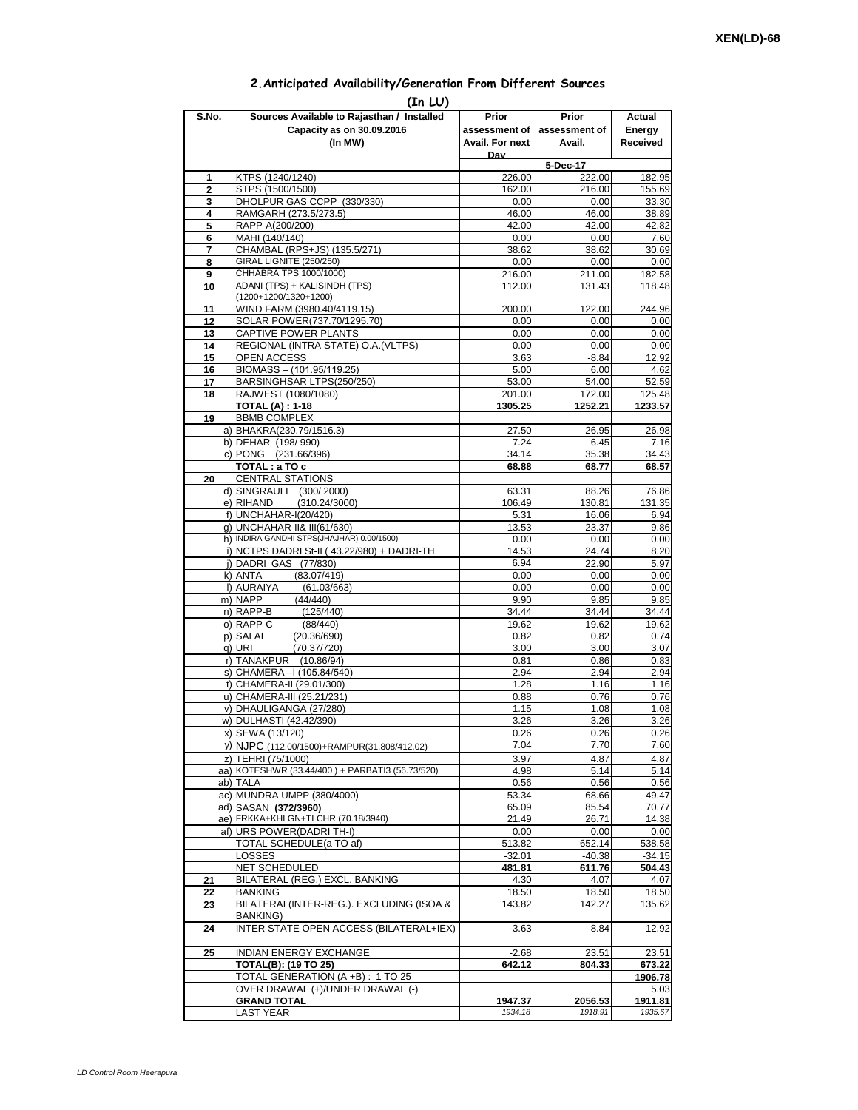## **2.Anticipated Availability/Generation From Different Sources**

| (In LU)        |                                                              |                   |                    |                 |  |  |  |  |  |
|----------------|--------------------------------------------------------------|-------------------|--------------------|-----------------|--|--|--|--|--|
| S.No.          | Sources Available to Rajasthan / Installed                   | Prior             | Prior              | Actual          |  |  |  |  |  |
|                | Capacity as on 30.09.2016                                    | assessment of I   | assessment of      | Energy          |  |  |  |  |  |
|                | (In MW)                                                      | Avail. For next   | Avail.             | Received        |  |  |  |  |  |
|                |                                                              | Dav               |                    |                 |  |  |  |  |  |
| 1              | KTPS (1240/1240)                                             | 226.00            | 5-Dec-17<br>222.00 | 182.95          |  |  |  |  |  |
| $\overline{2}$ | STPS (1500/1500)                                             | 162.00            | 216.00             | 155.69          |  |  |  |  |  |
| 3              | DHOLPUR GAS CCPP (330/330)                                   | 0.00              | 0.00               | 33.30           |  |  |  |  |  |
| 4              | RAMGARH (273.5/273.5)                                        | 46.00             | 46.00              | 38.89           |  |  |  |  |  |
| 5              | RAPP-A(200/200)                                              | 42.00             | 42.00              | 42.82           |  |  |  |  |  |
| 6              | MAHI (140/140)                                               | 0.00              | 0.00<br>38.62      | 7.60            |  |  |  |  |  |
| 7<br>8         | CHAMBAL (RPS+JS) (135.5/271)<br>GIRAL LIGNITE (250/250)      | 38.62<br>0.00     | 0.00               | 30.69<br>0.00   |  |  |  |  |  |
| 9              | CHHABRA TPS 1000/1000)                                       | 216.00            | 211.00             | 182.58          |  |  |  |  |  |
| 10             | ADANI (TPS) + KALISINDH (TPS)                                | 112.00            | 131.43             | 118.48          |  |  |  |  |  |
|                | (1200+1200/1320+1200)                                        |                   |                    |                 |  |  |  |  |  |
| 11             | WIND FARM (3980.40/4119.15)                                  | 200.00            | 122.00             | 244.96          |  |  |  |  |  |
| 12<br>13       | SOLAR POWER(737.70/1295.70)<br>CAPTIVE POWER PLANTS          | 0.00<br>0.00      | 0.00<br>0.00       | 0.00<br>0.00    |  |  |  |  |  |
| 14             | REGIONAL (INTRA STATE) O.A. (VLTPS)                          | 0.00              | 0.00               | 0.00            |  |  |  |  |  |
| 15             | <b>OPEN ACCESS</b>                                           | 3.63              | $-8.84$            | 12.92           |  |  |  |  |  |
| 16             | BIOMASS - (101.95/119.25)                                    | 5.00              | 6.00               | 4.62            |  |  |  |  |  |
| 17             | BARSINGHSAR LTPS(250/250)                                    | 53.00             | 54.00              | 52.59           |  |  |  |  |  |
| 18             | RAJWEST (1080/1080)                                          | 201.00            | 172.00             | 125.48          |  |  |  |  |  |
|                | <b>TOTAL (A): 1-18</b>                                       | 1305.25           | 1252.21            | 1233.57         |  |  |  |  |  |
| 19             | <b>BBMB COMPLEX</b><br>a) BHAKRA(230.79/1516.3)              | 27.50             | 26.95              | 26.98           |  |  |  |  |  |
|                | b) DEHAR (198/990)                                           | 7.24              | 6.45               | 7.16            |  |  |  |  |  |
|                | c) PONG (231.66/396)                                         | 34.14             | 35.38              | 34.43           |  |  |  |  |  |
|                | TOTAL: a TO c                                                | 68.88             | 68.77              | 68.57           |  |  |  |  |  |
| 20             | <b>CENTRAL STATIONS</b>                                      |                   |                    |                 |  |  |  |  |  |
|                | d) SINGRAULI (300/2000)                                      | 63.31             | 88.26              | 76.86           |  |  |  |  |  |
|                | e) RIHAND<br>(310.24/3000)<br>f) UNCHAHAR-I(20/420)          | 106.49<br>5.31    | 130.81<br>16.06    | 131.35<br>6.94  |  |  |  |  |  |
|                | g) UNCHAHAR-II& III(61/630)                                  | 13.53             | 23.37              | 9.86            |  |  |  |  |  |
|                | h) INDIRA GANDHI STPS(JHAJHAR) 0.00/1500)                    | 0.00              | 0.00               | 0.00            |  |  |  |  |  |
|                | i) NCTPS DADRI St-II (43.22/980) + DADRI-TH                  | 14.53             | 24.74              | 8.20            |  |  |  |  |  |
|                | j) DADRI GAS (77/830)                                        | 6.94              | 22.90              | 5.97            |  |  |  |  |  |
|                | (83.07/419)<br>k) ANTA                                       | 0.00              | 0.00               | 0.00            |  |  |  |  |  |
|                | I) AURAIYA<br>(61.03/663)<br>m) NAPP<br>(44/440)             | 0.00<br>9.90      | 0.00<br>9.85       | 0.00<br>9.85    |  |  |  |  |  |
|                | n) RAPP-B<br>(125/440)                                       | 34.44             | 34.44              | 34.44           |  |  |  |  |  |
|                | o) RAPP-C<br>(88/440)                                        | 19.62             | 19.62              | 19.62           |  |  |  |  |  |
|                | p) SALAL<br>(20.36/690)                                      | 0.82              | 0.82               | 0.74            |  |  |  |  |  |
|                | q) URI<br>(70.37/720)                                        | 3.00              | 3.00               | 3.07            |  |  |  |  |  |
|                | r) TANAKPUR (10.86/94)                                       | 0.81              | 0.86               | 0.83            |  |  |  |  |  |
|                | s) CHAMERA - (105.84/540)<br>t) CHAMERA-II (29.01/300)       | 2.94<br>1.28      | 2.94<br>1.16       | 2.94<br>1.16    |  |  |  |  |  |
|                | u) CHAMERA-III (25.21/231)                                   | 0.88              | 0.76               | 0.76            |  |  |  |  |  |
|                | v) DHAULIGANGA (27/280)                                      | 1.15              | 1.08               | 1.08            |  |  |  |  |  |
|                | w) DULHASTI (42.42/390)                                      | 3.26              | 3.26               | 3.26            |  |  |  |  |  |
|                | x) SEWA (13/120)                                             | 0.26              | 0.26               | 0.26            |  |  |  |  |  |
|                | y) NJPC (112.00/1500)+RAMPUR(31.808/412.02)                  | 7.04              | 7.70               | 7.60            |  |  |  |  |  |
|                | z) TEHRI (75/1000)                                           | 3.97              | 4.87               | 4.87            |  |  |  |  |  |
|                | aa) KOTESHWR (33.44/400) + PARBATI3 (56.73/520)              | 4.98<br>0.56      | 5.14               | 5.14<br>0.56    |  |  |  |  |  |
|                | ab) TALA<br>ac) MUNDRA UMPP (380/4000)                       | 53.34             | 0.56<br>68.66      | 49.47           |  |  |  |  |  |
|                | ad) SASAN (372/3960)                                         | 65.09             | 85.54              | 70.77           |  |  |  |  |  |
|                | ae) FRKKA+KHLGN+TLCHR (70.18/3940)                           | 21.49             | 26.71              | 14.38           |  |  |  |  |  |
|                | af) URS POWER(DADRITH-I)                                     | 0.00              | 0.00               | 0.00            |  |  |  |  |  |
|                | TOTAL SCHEDULE(a TO af)                                      | 513.82            | 652.14             | 538.58          |  |  |  |  |  |
|                | LOSSES                                                       | $-32.01$          | $-40.38$           | $-34.15$        |  |  |  |  |  |
| 21             | NET SCHEDULED<br>BILATERAL (REG.) EXCL. BANKING              | 481.81<br>4.30    | 611.76<br>4.07     | 504.43<br>4.07  |  |  |  |  |  |
| 22             | BANKING                                                      | 18.50             | 18.50              | 18.50           |  |  |  |  |  |
| 23             | BILATERAL(INTER-REG.). EXCLUDING (ISOA &                     | 143.82            | 142.27             | 135.62          |  |  |  |  |  |
|                | BANKING)                                                     |                   |                    |                 |  |  |  |  |  |
| 24             | INTER STATE OPEN ACCESS (BILATERAL+IEX)                      | $-3.63$           | 8.84               | $-12.92$        |  |  |  |  |  |
|                |                                                              |                   |                    |                 |  |  |  |  |  |
| 25             | <b>INDIAN ENERGY EXCHANGE</b><br><b>TOTAL(B): (19 TO 25)</b> | $-2.68$<br>642.12 | 23.51<br>804.33    | 23.51<br>673.22 |  |  |  |  |  |
|                | TOTAL GENERATION (A +B) : 1 TO 25                            |                   |                    | 1906.78         |  |  |  |  |  |
|                | OVER DRAWAL (+)/UNDER DRAWAL (-)                             |                   |                    | 5.03            |  |  |  |  |  |
|                | <b>GRAND TOTAL</b>                                           | 1947.37           | 2056.53            | 1911.81         |  |  |  |  |  |
|                | <b>LAST YEAR</b>                                             | 1934.18           | 1918.91            | 1935.67         |  |  |  |  |  |